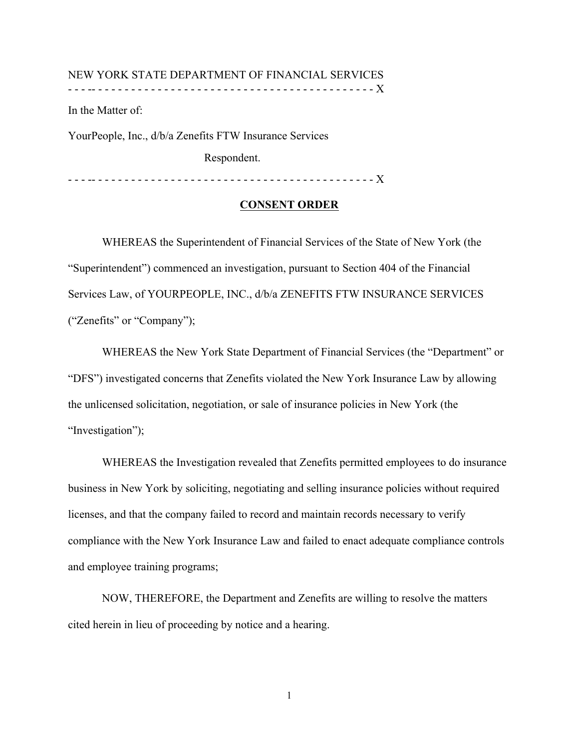#### NEW YORK STATE DEPARTMENT OF FINANCIAL SERVICES - - - -- - - - - - - - - - - - - - - - - - - - - - - - - - - - - - - - - - - - - - - - - - - X

In the Matter of:

YourPeople, Inc., d/b/a Zenefits FTW Insurance Services

Respondent.

- - - -- - - - - - - - - - - - - - - - - - - - - - - - - - - - - - - - - - - - - - - - - - - X

# **CONSENT ORDER**

WHEREAS the Superintendent of Financial Services of the State of New York (the "Superintendent") commenced an investigation, pursuant to Section 404 of the Financial Services Law, of YOURPEOPLE, INC., d/b/a ZENEFITS FTW INSURANCE SERVICES ("Zenefits" or "Company");

WHEREAS the New York State Department of Financial Services (the "Department" or "DFS") investigated concerns that Zenefits violated the New York Insurance Law by allowing the unlicensed solicitation, negotiation, or sale of insurance policies in New York (the "Investigation");

WHEREAS the Investigation revealed that Zenefits permitted employees to do insurance business in New York by soliciting, negotiating and selling insurance policies without required licenses, and that the company failed to record and maintain records necessary to verify compliance with the New York Insurance Law and failed to enact adequate compliance controls and employee training programs;

NOW, THEREFORE, the Department and Zenefits are willing to resolve the matters cited herein in lieu of proceeding by notice and a hearing.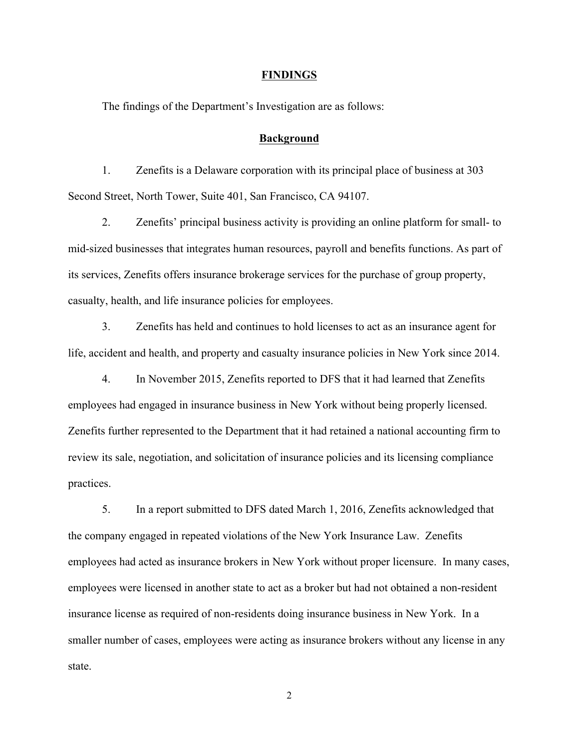#### **FINDINGS**

The findings of the Department's Investigation are as follows:

#### **Background**

1. Zenefits is a Delaware corporation with its principal place of business at 303 Second Street, North Tower, Suite 401, San Francisco, CA 94107.

2. Zenefits' principal business activity is providing an online platform for small- to mid-sized businesses that integrates human resources, payroll and benefits functions. As part of its services, Zenefits offers insurance brokerage services for the purchase of group property, casualty, health, and life insurance policies for employees.

3. Zenefits has held and continues to hold licenses to act as an insurance agent for life, accident and health, and property and casualty insurance policies in New York since 2014.

4. In November 2015, Zenefits reported to DFS that it had learned that Zenefits employees had engaged in insurance business in New York without being properly licensed. Zenefits further represented to the Department that it had retained a national accounting firm to review its sale, negotiation, and solicitation of insurance policies and its licensing compliance practices.

5. In a report submitted to DFS dated March 1, 2016, Zenefits acknowledged that the company engaged in repeated violations of the New York Insurance Law. Zenefits employees had acted as insurance brokers in New York without proper licensure. In many cases, employees were licensed in another state to act as a broker but had not obtained a non-resident insurance license as required of non-residents doing insurance business in New York. In a smaller number of cases, employees were acting as insurance brokers without any license in any state.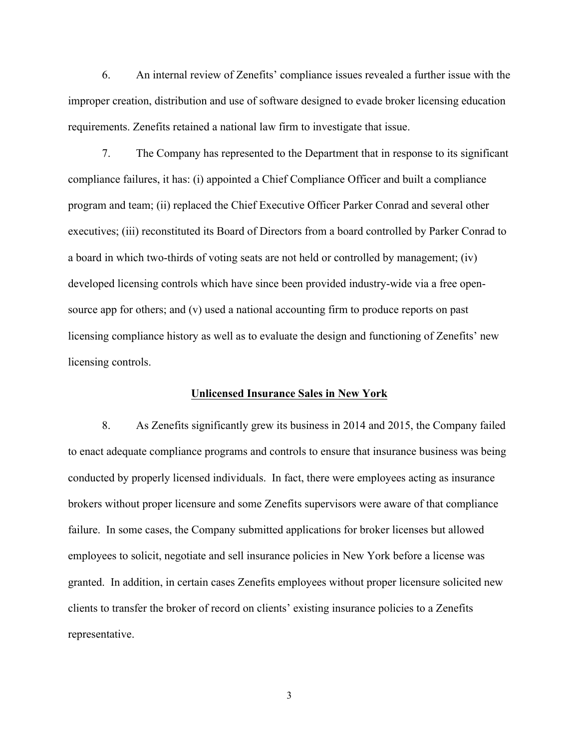6. An internal review of Zenefits' compliance issues revealed a further issue with the improper creation, distribution and use of software designed to evade broker licensing education requirements. Zenefits retained a national law firm to investigate that issue.

7. The Company has represented to the Department that in response to its significant compliance failures, it has: (i) appointed a Chief Compliance Officer and built a compliance program and team; (ii) replaced the Chief Executive Officer Parker Conrad and several other executives; (iii) reconstituted its Board of Directors from a board controlled by Parker Conrad to a board in which two-thirds of voting seats are not held or controlled by management; (iv) developed licensing controls which have since been provided industry-wide via a free opensource app for others; and (v) used a national accounting firm to produce reports on past licensing compliance history as well as to evaluate the design and functioning of Zenefits' new licensing controls.

#### **Unlicensed Insurance Sales in New York**

8. As Zenefits significantly grew its business in 2014 and 2015, the Company failed to enact adequate compliance programs and controls to ensure that insurance business was being conducted by properly licensed individuals. In fact, there were employees acting as insurance brokers without proper licensure and some Zenefits supervisors were aware of that compliance failure. In some cases, the Company submitted applications for broker licenses but allowed employees to solicit, negotiate and sell insurance policies in New York before a license was granted. In addition, in certain cases Zenefits employees without proper licensure solicited new clients to transfer the broker of record on clients' existing insurance policies to a Zenefits representative.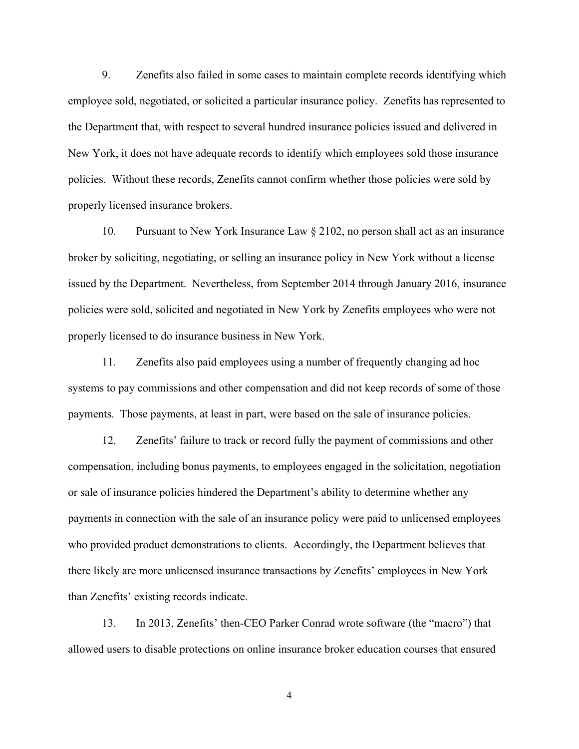9. Zenefits also failed in some cases to maintain complete records identifying which employee sold, negotiated, or solicited a particular insurance policy. Zenefits has represented to the Department that, with respect to several hundred insurance policies issued and delivered in New York, it does not have adequate records to identify which employees sold those insurance policies. Without these records, Zenefits cannot confirm whether those policies were sold by properly licensed insurance brokers.

10. Pursuant to New York Insurance Law § 2102, no person shall act as an insurance broker by soliciting, negotiating, or selling an insurance policy in New York without a license issued by the Department. Nevertheless, from September 2014 through January 2016, insurance policies were sold, solicited and negotiated in New York by Zenefits employees who were not properly licensed to do insurance business in New York.

11. Zenefits also paid employees using a number of frequently changing ad hoc systems to pay commissions and other compensation and did not keep records of some of those payments. Those payments, at least in part, were based on the sale of insurance policies.

12. Zenefits' failure to track or record fully the payment of commissions and other compensation, including bonus payments, to employees engaged in the solicitation, negotiation or sale of insurance policies hindered the Department's ability to determine whether any payments in connection with the sale of an insurance policy were paid to unlicensed employees who provided product demonstrations to clients. Accordingly, the Department believes that there likely are more unlicensed insurance transactions by Zenefits' employees in New York than Zenefits' existing records indicate.

13. In 2013, Zenefits' then-CEO Parker Conrad wrote software (the "macro") that allowed users to disable protections on online insurance broker education courses that ensured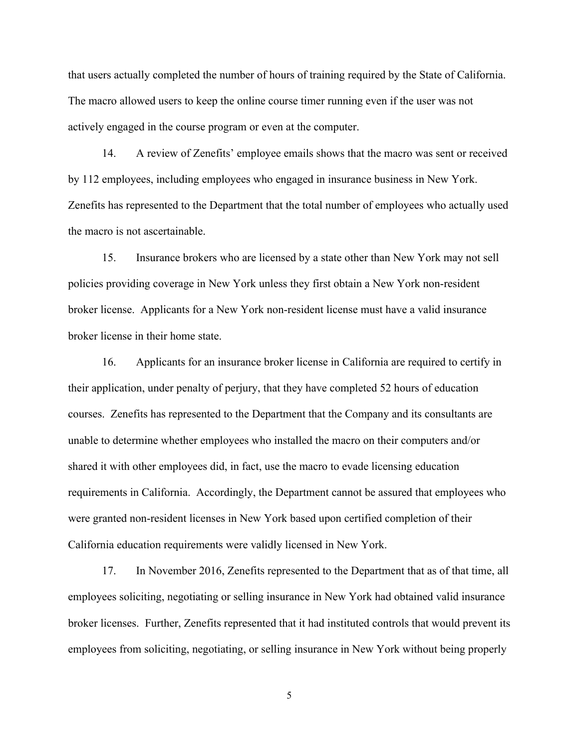that users actually completed the number of hours of training required by the State of California. The macro allowed users to keep the online course timer running even if the user was not actively engaged in the course program or even at the computer.

14. A review of Zenefits' employee emails shows that the macro was sent or received by 112 employees, including employees who engaged in insurance business in New York. Zenefits has represented to the Department that the total number of employees who actually used the macro is not ascertainable.

15. Insurance brokers who are licensed by a state other than New York may not sell policies providing coverage in New York unless they first obtain a New York non-resident broker license. Applicants for a New York non-resident license must have a valid insurance broker license in their home state.

16. Applicants for an insurance broker license in California are required to certify in their application, under penalty of perjury, that they have completed 52 hours of education courses. Zenefits has represented to the Department that the Company and its consultants are unable to determine whether employees who installed the macro on their computers and/or shared it with other employees did, in fact, use the macro to evade licensing education requirements in California. Accordingly, the Department cannot be assured that employees who were granted non-resident licenses in New York based upon certified completion of their California education requirements were validly licensed in New York.

17. In November 2016, Zenefits represented to the Department that as of that time, all employees soliciting, negotiating or selling insurance in New York had obtained valid insurance broker licenses. Further, Zenefits represented that it had instituted controls that would prevent its employees from soliciting, negotiating, or selling insurance in New York without being properly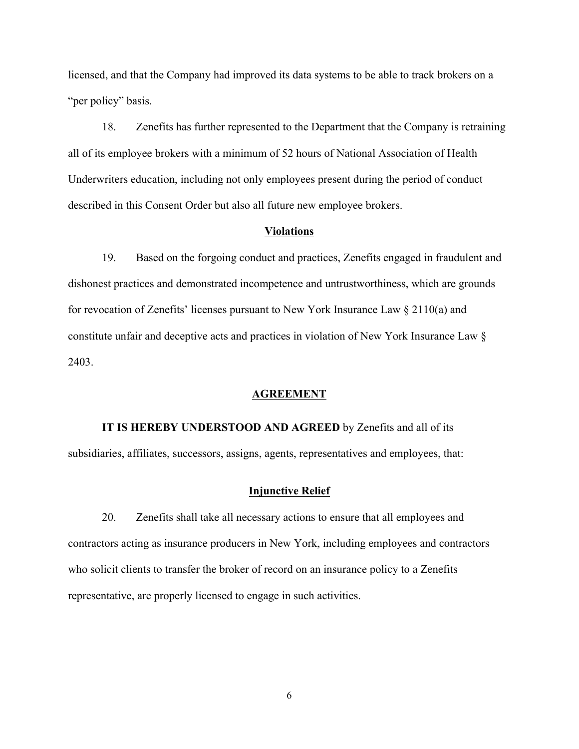licensed, and that the Company had improved its data systems to be able to track brokers on a "per policy" basis.

18. Zenefits has further represented to the Department that the Company is retraining all of its employee brokers with a minimum of 52 hours of National Association of Health Underwriters education, including not only employees present during the period of conduct described in this Consent Order but also all future new employee brokers.

## **Violations**

19. Based on the forgoing conduct and practices, Zenefits engaged in fraudulent and dishonest practices and demonstrated incompetence and untrustworthiness, which are grounds for revocation of Zenefits' licenses pursuant to New York Insurance Law § 2110(a) and constitute unfair and deceptive acts and practices in violation of New York Insurance Law § 2403.

#### **AGREEMENT**

# **IT IS HEREBY UNDERSTOOD AND AGREED** by Zenefits and all of its subsidiaries, affiliates, successors, assigns, agents, representatives and employees, that:

#### **Injunctive Relief**

20. Zenefits shall take all necessary actions to ensure that all employees and contractors acting as insurance producers in New York, including employees and contractors who solicit clients to transfer the broker of record on an insurance policy to a Zenefits representative, are properly licensed to engage in such activities.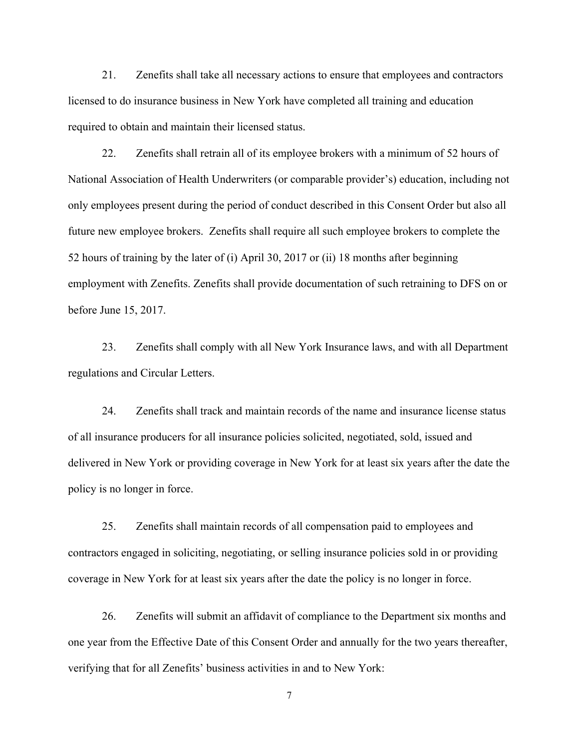21. Zenefits shall take all necessary actions to ensure that employees and contractors licensed to do insurance business in New York have completed all training and education required to obtain and maintain their licensed status.

22. Zenefits shall retrain all of its employee brokers with a minimum of 52 hours of National Association of Health Underwriters (or comparable provider's) education, including not only employees present during the period of conduct described in this Consent Order but also all future new employee brokers. Zenefits shall require all such employee brokers to complete the 52 hours of training by the later of (i) April 30, 2017 or (ii) 18 months after beginning employment with Zenefits. Zenefits shall provide documentation of such retraining to DFS on or before June 15, 2017.

23. Zenefits shall comply with all New York Insurance laws, and with all Department regulations and Circular Letters.

24. Zenefits shall track and maintain records of the name and insurance license status of all insurance producers for all insurance policies solicited, negotiated, sold, issued and delivered in New York or providing coverage in New York for at least six years after the date the policy is no longer in force.

25. Zenefits shall maintain records of all compensation paid to employees and contractors engaged in soliciting, negotiating, or selling insurance policies sold in or providing coverage in New York for at least six years after the date the policy is no longer in force.

26. Zenefits will submit an affidavit of compliance to the Department six months and one year from the Effective Date of this Consent Order and annually for the two years thereafter, verifying that for all Zenefits' business activities in and to New York: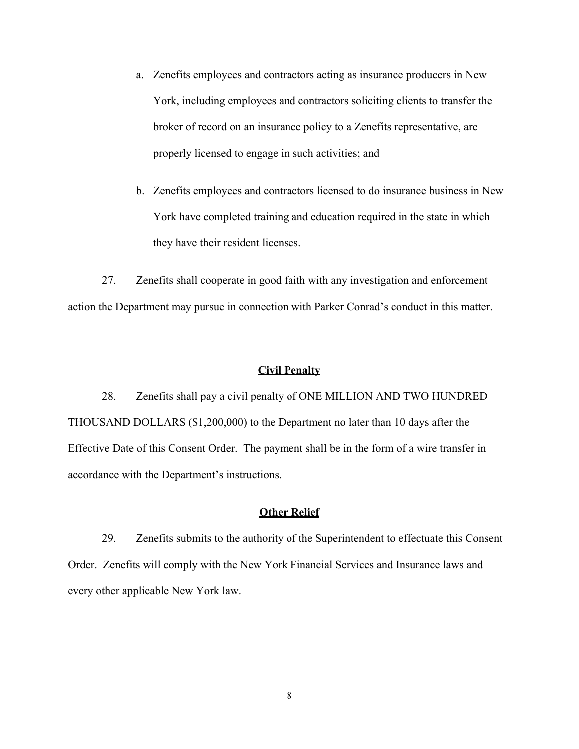- a. Zenefits employees and contractors acting as insurance producers in New York, including employees and contractors soliciting clients to transfer the broker of record on an insurance policy to a Zenefits representative, are properly licensed to engage in such activities; and
- b. Zenefits employees and contractors licensed to do insurance business in New York have completed training and education required in the state in which they have their resident licenses.

27. Zenefits shall cooperate in good faith with any investigation and enforcement action the Department may pursue in connection with Parker Conrad's conduct in this matter.

## **Civil Penalty**

28. Zenefits shall pay a civil penalty of ONE MILLION AND TWO HUNDRED THOUSAND DOLLARS (\$1,200,000) to the Department no later than 10 days after the Effective Date of this Consent Order. The payment shall be in the form of a wire transfer in accordance with the Department's instructions.

# **Other Relief**

29. Zenefits submits to the authority of the Superintendent to effectuate this Consent Order. Zenefits will comply with the New York Financial Services and Insurance laws and every other applicable New York law.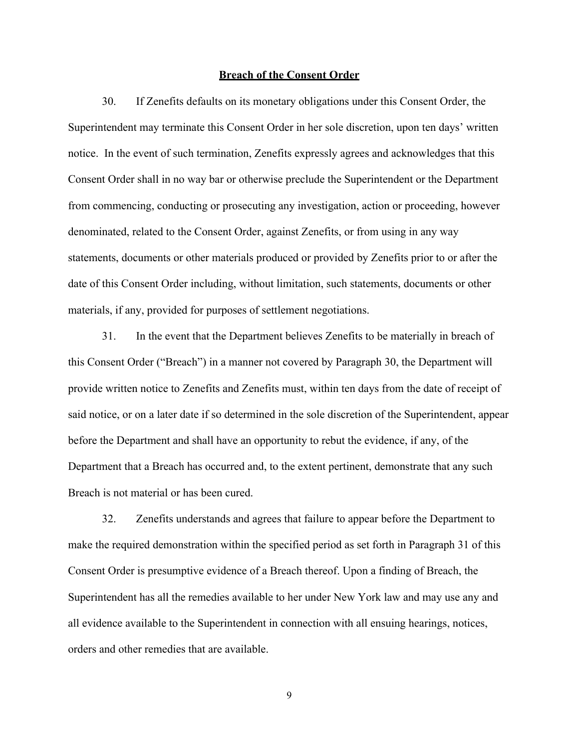#### **Breach of the Consent Order**

30. If Zenefits defaults on its monetary obligations under this Consent Order, the Superintendent may terminate this Consent Order in her sole discretion, upon ten days' written notice. In the event of such termination, Zenefits expressly agrees and acknowledges that this Consent Order shall in no way bar or otherwise preclude the Superintendent or the Department from commencing, conducting or prosecuting any investigation, action or proceeding, however denominated, related to the Consent Order, against Zenefits, or from using in any way statements, documents or other materials produced or provided by Zenefits prior to or after the date of this Consent Order including, without limitation, such statements, documents or other materials, if any, provided for purposes of settlement negotiations.

31. In the event that the Department believes Zenefits to be materially in breach of this Consent Order ("Breach") in a manner not covered by Paragraph 30, the Department will provide written notice to Zenefits and Zenefits must, within ten days from the date of receipt of said notice, or on a later date if so determined in the sole discretion of the Superintendent, appear before the Department and shall have an opportunity to rebut the evidence, if any, of the Department that a Breach has occurred and, to the extent pertinent, demonstrate that any such Breach is not material or has been cured.

32. Zenefits understands and agrees that failure to appear before the Department to make the required demonstration within the specified period as set forth in Paragraph 31 of this Consent Order is presumptive evidence of a Breach thereof. Upon a finding of Breach, the Superintendent has all the remedies available to her under New York law and may use any and all evidence available to the Superintendent in connection with all ensuing hearings, notices, orders and other remedies that are available.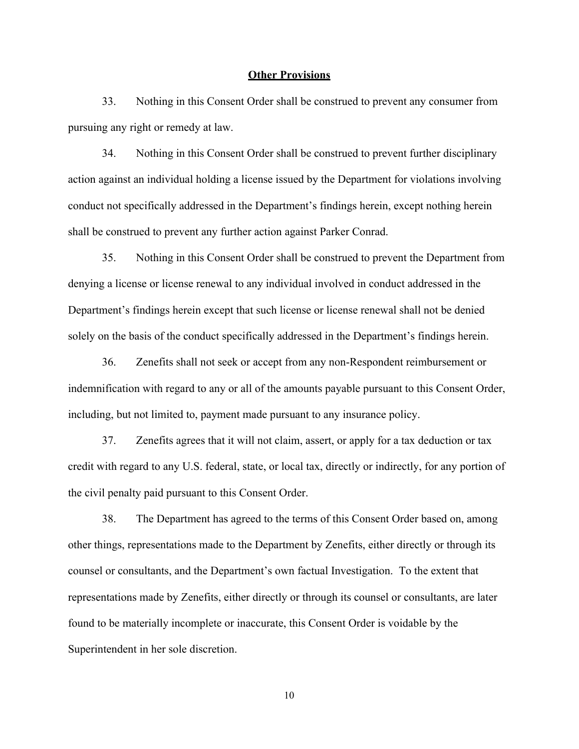#### **Other Provisions**

33. Nothing in this Consent Order shall be construed to prevent any consumer from pursuing any right or remedy at law.

34. Nothing in this Consent Order shall be construed to prevent further disciplinary action against an individual holding a license issued by the Department for violations involving conduct not specifically addressed in the Department's findings herein, except nothing herein shall be construed to prevent any further action against Parker Conrad.

35. Nothing in this Consent Order shall be construed to prevent the Department from denying a license or license renewal to any individual involved in conduct addressed in the Department's findings herein except that such license or license renewal shall not be denied solely on the basis of the conduct specifically addressed in the Department's findings herein.

36. Zenefits shall not seek or accept from any non-Respondent reimbursement or indemnification with regard to any or all of the amounts payable pursuant to this Consent Order, including, but not limited to, payment made pursuant to any insurance policy.

37. Zenefits agrees that it will not claim, assert, or apply for a tax deduction or tax credit with regard to any U.S. federal, state, or local tax, directly or indirectly, for any portion of the civil penalty paid pursuant to this Consent Order.

38. The Department has agreed to the terms of this Consent Order based on, among other things, representations made to the Department by Zenefits, either directly or through its counsel or consultants, and the Department's own factual Investigation. To the extent that representations made by Zenefits, either directly or through its counsel or consultants, are later found to be materially incomplete or inaccurate, this Consent Order is voidable by the Superintendent in her sole discretion.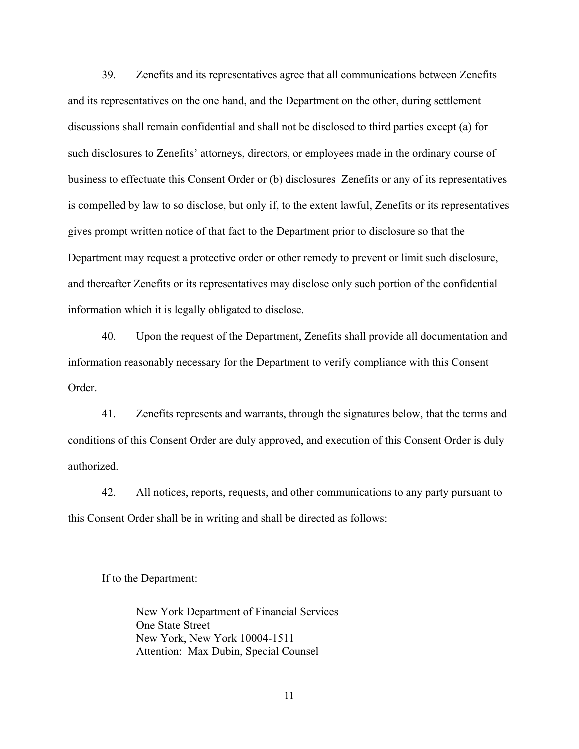39. Zenefits and its representatives agree that all communications between Zenefits and its representatives on the one hand, and the Department on the other, during settlement discussions shall remain confidential and shall not be disclosed to third parties except (a) for such disclosures to Zenefits' attorneys, directors, or employees made in the ordinary course of business to effectuate this Consent Order or (b) disclosures Zenefits or any of its representatives is compelled by law to so disclose, but only if, to the extent lawful, Zenefits or its representatives gives prompt written notice of that fact to the Department prior to disclosure so that the Department may request a protective order or other remedy to prevent or limit such disclosure, and thereafter Zenefits or its representatives may disclose only such portion of the confidential information which it is legally obligated to disclose.

40. Upon the request of the Department, Zenefits shall provide all documentation and information reasonably necessary for the Department to verify compliance with this Consent Order.

41. Zenefits represents and warrants, through the signatures below, that the terms and conditions of this Consent Order are duly approved, and execution of this Consent Order is duly authorized.

42. All notices, reports, requests, and other communications to any party pursuant to this Consent Order shall be in writing and shall be directed as follows:

If to the Department:

New York Department of Financial Services One State Street New York, New York 10004-1511 Attention: Max Dubin, Special Counsel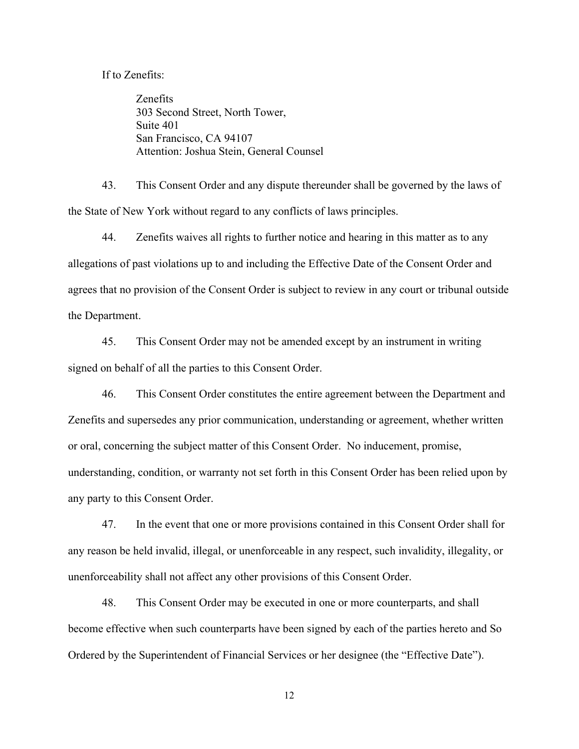If to Zenefits:

Zenefits 303 Second Street, North Tower, Suite 401 San Francisco, CA 94107 Attention: Joshua Stein, General Counsel

43. This Consent Order and any dispute thereunder shall be governed by the laws of the State of New York without regard to any conflicts of laws principles.

44. Zenefits waives all rights to further notice and hearing in this matter as to any allegations of past violations up to and including the Effective Date of the Consent Order and agrees that no provision of the Consent Order is subject to review in any court or tribunal outside the Department.

45. This Consent Order may not be amended except by an instrument in writing signed on behalf of all the parties to this Consent Order.

46. This Consent Order constitutes the entire agreement between the Department and Zenefits and supersedes any prior communication, understanding or agreement, whether written or oral, concerning the subject matter of this Consent Order. No inducement, promise, understanding, condition, or warranty not set forth in this Consent Order has been relied upon by any party to this Consent Order.

47. In the event that one or more provisions contained in this Consent Order shall for any reason be held invalid, illegal, or unenforceable in any respect, such invalidity, illegality, or unenforceability shall not affect any other provisions of this Consent Order.

48. This Consent Order may be executed in one or more counterparts, and shall become effective when such counterparts have been signed by each of the parties hereto and So Ordered by the Superintendent of Financial Services or her designee (the "Effective Date").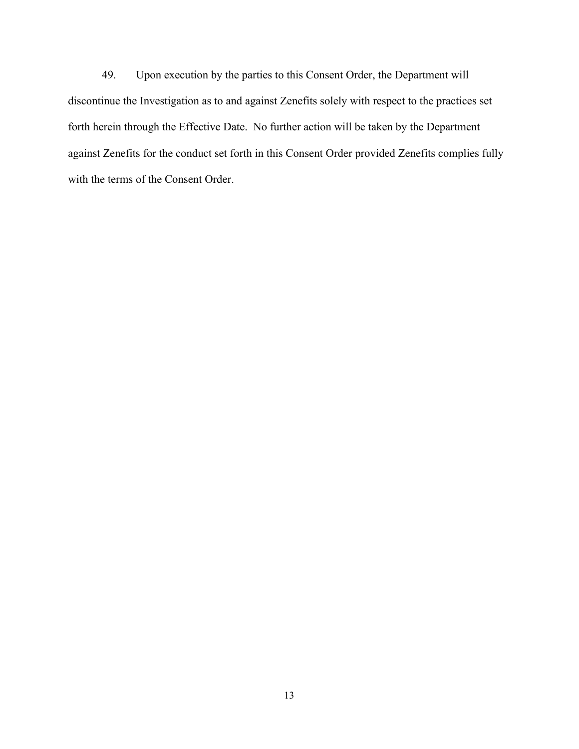49. Upon execution by the parties to this Consent Order, the Department will discontinue the Investigation as to and against Zenefits solely with respect to the practices set forth herein through the Effective Date. No further action will be taken by the Department against Zenefits for the conduct set forth in this Consent Order provided Zenefits complies fully with the terms of the Consent Order.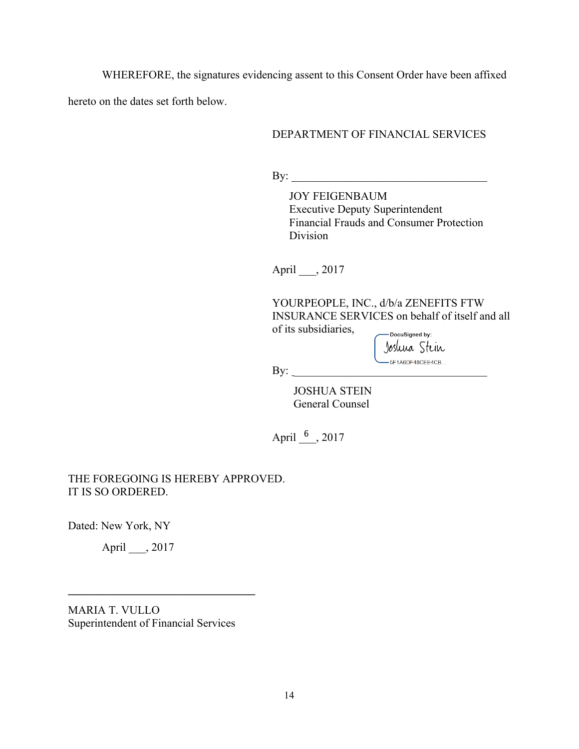WHEREFORE, the signatures evidencing assent to this Consent Order have been affixed

hereto on the dates set forth below.

# DEPARTMENT OF FINANCIAL SERVICES

 $\mathbf{By:}$ 

JOY FEIGENBAUM Executive Deputy Superintendent Financial Frauds and Consumer Protection Division

April \_\_\_, 2017

YOURPEOPLE, INC., d/b/a ZENEFITS FTW INSURANCE SERVICES on behalf of itself and all of its subsidiaries, -DocuSigned by:

Joshua Stein  $\text{By:}\quad$ 

JOSHUA STEIN General Counsel

April  $\frac{6}{2}$ , 2017

THE FOREGOING IS HEREBY APPROVED. IT IS SO ORDERED.

Dated: New York, NY

April \_\_\_, 2017

MARIA T. VULLO Superintendent of Financial Services

**\_\_\_\_\_\_\_\_\_\_\_\_\_\_\_\_\_\_\_\_\_\_\_\_\_\_\_\_\_\_\_\_\_**